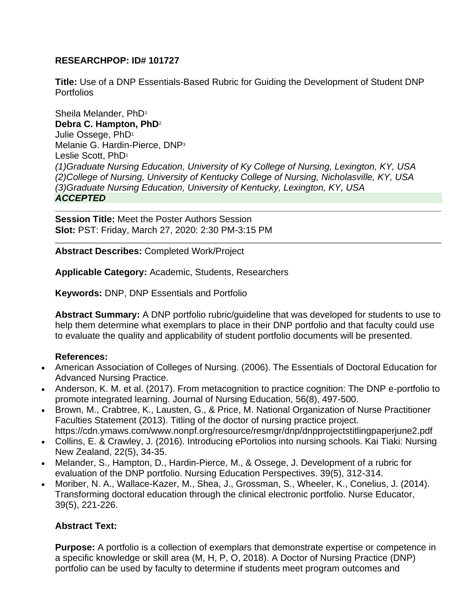## **RESEARCHPOP: ID# 101727**

**Title:** Use of a DNP Essentials-Based Rubric for Guiding the Development of Student DNP **Portfolios** 

Sheila Melander, PhD<sup>1</sup> **Debra C. Hampton, PhD**<sup>2</sup> Julie Ossege, PhD<sup>1</sup> Melanie G. Hardin-Pierce, DNP<sup>3</sup> Leslie Scott, PhD<sup>1</sup> *(1)Graduate Nursing Education, University of Ky College of Nursing, Lexington, KY, USA (2)College of Nursing, University of Kentucky College of Nursing, Nicholasville, KY, USA (3)Graduate Nursing Education, University of Kentucky, Lexington, KY, USA ACCEPTED*

**Session Title:** Meet the Poster Authors Session **Slot:** PST: Friday, March 27, 2020: 2:30 PM-3:15 PM

**Abstract Describes:** Completed Work/Project

**Applicable Category:** Academic, Students, Researchers

**Keywords:** DNP, DNP Essentials and Portfolio

**Abstract Summary:** A DNP portfolio rubric/guideline that was developed for students to use to help them determine what exemplars to place in their DNP portfolio and that faculty could use to evaluate the quality and applicability of student portfolio documents will be presented.

## **References:**

- American Association of Colleges of Nursing. (2006). The Essentials of Doctoral Education for Advanced Nursing Practice.
- Anderson, K. M. et al. (2017). From metacognition to practice cognition: The DNP e-portfolio to promote integrated learning. Journal of Nursing Education, 56(8), 497-500.
- Brown, M., Crabtree, K., Lausten, G., & Price, M. National Organization of Nurse Practitioner Faculties Statement (2013). Titling of the doctor of nursing practice project. https://cdn.ymaws.com/www.nonpf.org/resource/resmgr/dnp/dnpprojectstitlingpaperjune2.pdf
- Collins, E. & Crawley, J. (2016). Introducing ePortolios into nursing schools. Kai Tiaki: Nursing New Zealand, 22(5), 34-35.
- Melander, S., Hampton, D., Hardin-Pierce, M., & Ossege, J. Development of a rubric for evaluation of the DNP portfolio. Nursing Education Perspectives. 39(5), 312-314.
- Moriber, N. A., Wallace-Kazer, M., Shea, J., Grossman, S., Wheeler, K., Conelius, J. (2014). Transforming doctoral education through the clinical electronic portfolio. Nurse Educator, 39(5), 221-226.

## **Abstract Text:**

**Purpose:** A portfolio is a collection of exemplars that demonstrate expertise or competence in a specific knowledge or skill area (M, H, P, O, 2018). A Doctor of Nursing Practice (DNP) portfolio can be used by faculty to determine if students meet program outcomes and